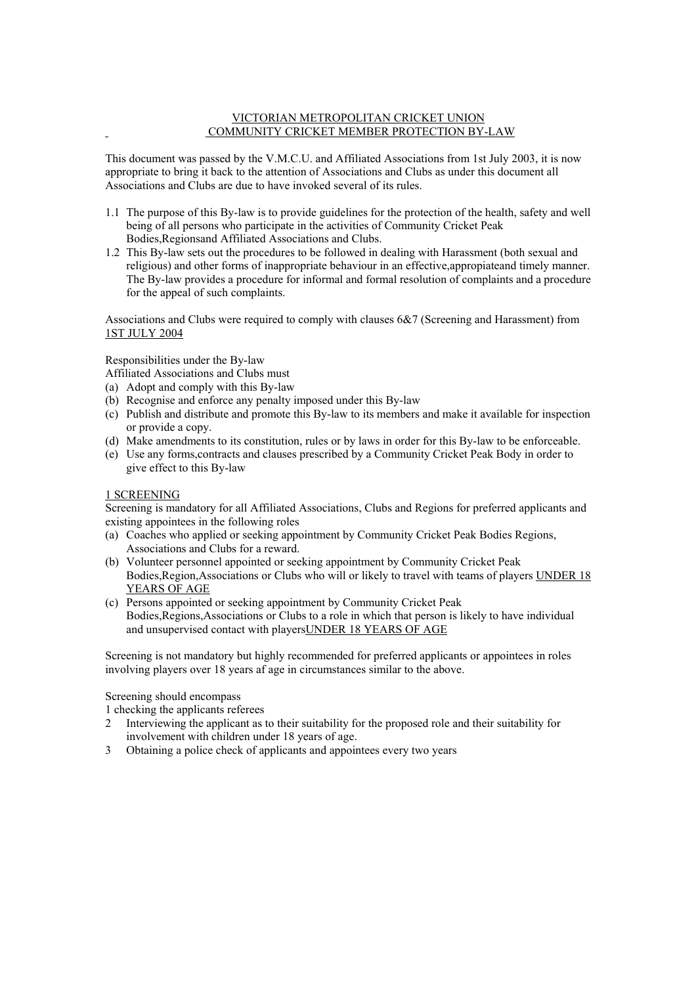#### VICTORIAN METROPOLITAN CRICKET UNION COMMUNITY CRICKET MEMBER PROTECTION BY-LAW

This document was passed by the V.M.C.U. and Affiliated Associations from 1st July 2003, it is now appropriate to bring it back to the attention of Associations and Clubs as under this document all Associations and Clubs are due to have invoked several of its rules.

- 1.1 The purpose of this By-law is to provide guidelines for the protection of the health, safety and well being of all persons who participate in the activities of Community Cricket Peak Bodies,Regionsand Affiliated Associations and Clubs.
- 1.2 This By-law sets out the procedures to be followed in dealing with Harassment (both sexual and religious) and other forms of inappropriate behaviour in an effective,appropiateand timely manner. The By-law provides a procedure for informal and formal resolution of complaints and a procedure for the appeal of such complaints.

Associations and Clubs were required to comply with clauses 6&7 (Screening and Harassment) from 1ST JULY 2004

# Responsibilities under the By-law

Affiliated Associations and Clubs must

- (a) Adopt and comply with this By-law
- (b) Recognise and enforce any penalty imposed under this By-law
- (c) Publish and distribute and promote this By-law to its members and make it available for inspection or provide a copy.
- (d) Make amendments to its constitution, rules or by laws in order for this By-law to be enforceable.
- (e) Use any forms,contracts and clauses prescribed by a Community Cricket Peak Body in order to give effect to this By-law

# 1 SCREENING

Screening is mandatory for all Affiliated Associations, Clubs and Regions for preferred applicants and existing appointees in the following roles

- (a) Coaches who applied or seeking appointment by Community Cricket Peak Bodies Regions, Associations and Clubs for a reward.
- (b) Volunteer personnel appointed or seeking appointment by Community Cricket Peak Bodies,Region,Associations or Clubs who will or likely to travel with teams of players UNDER 18 YEARS OF AGE
- (c) Persons appointed or seeking appointment by Community Cricket Peak Bodies,Regions,Associations or Clubs to a role in which that person is likely to have individual and unsupervised contact with playersUNDER 18 YEARS OF AGE

Screening is not mandatory but highly recommended for preferred applicants or appointees in roles involving players over 18 years af age in circumstances similar to the above.

Screening should encompass

1 checking the applicants referees

- 2 Interviewing the applicant as to their suitability for the proposed role and their suitability for involvement with children under 18 years of age.
- 3 Obtaining a police check of applicants and appointees every two years